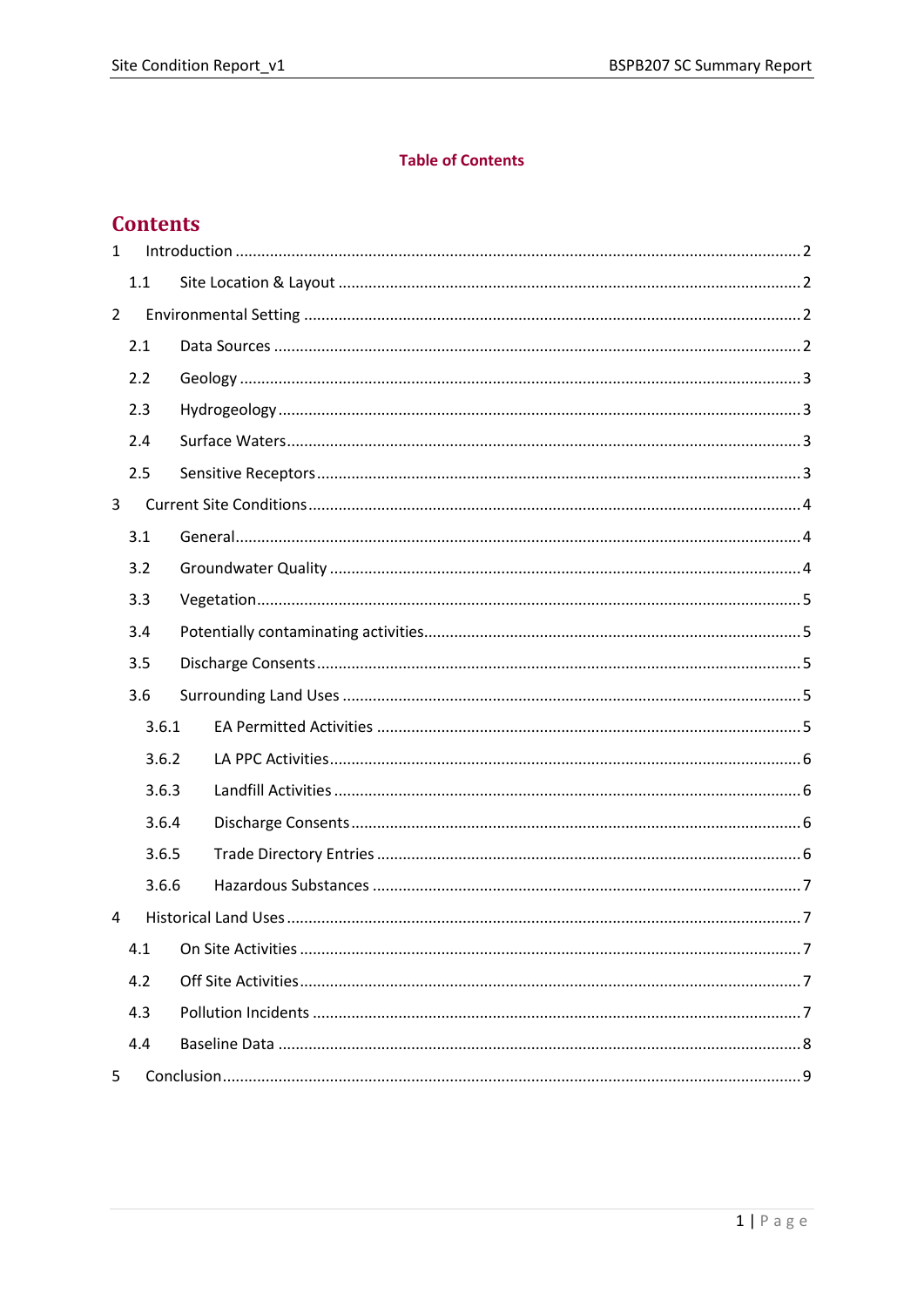#### **Table of Contents**

# **Contents**

| $\mathbf{1}$   |       |  |  |  |
|----------------|-------|--|--|--|
|                | 1.1   |  |  |  |
| $\overline{2}$ |       |  |  |  |
|                | 2.1   |  |  |  |
|                | 2.2   |  |  |  |
|                | 2.3   |  |  |  |
|                | 2.4   |  |  |  |
|                | 2.5   |  |  |  |
| 3              |       |  |  |  |
|                | 3.1   |  |  |  |
|                | 3.2   |  |  |  |
|                | 3.3   |  |  |  |
|                | 3.4   |  |  |  |
|                | 3.5   |  |  |  |
|                | 3.6   |  |  |  |
|                | 3.6.1 |  |  |  |
|                | 3.6.2 |  |  |  |
|                | 3.6.3 |  |  |  |
|                | 3.6.4 |  |  |  |
|                | 3.6.5 |  |  |  |
|                | 3.6.6 |  |  |  |
| 4              |       |  |  |  |
|                | 4.1   |  |  |  |
|                | 4.2   |  |  |  |
|                | 4.3   |  |  |  |
|                | 4.4   |  |  |  |
| 5              |       |  |  |  |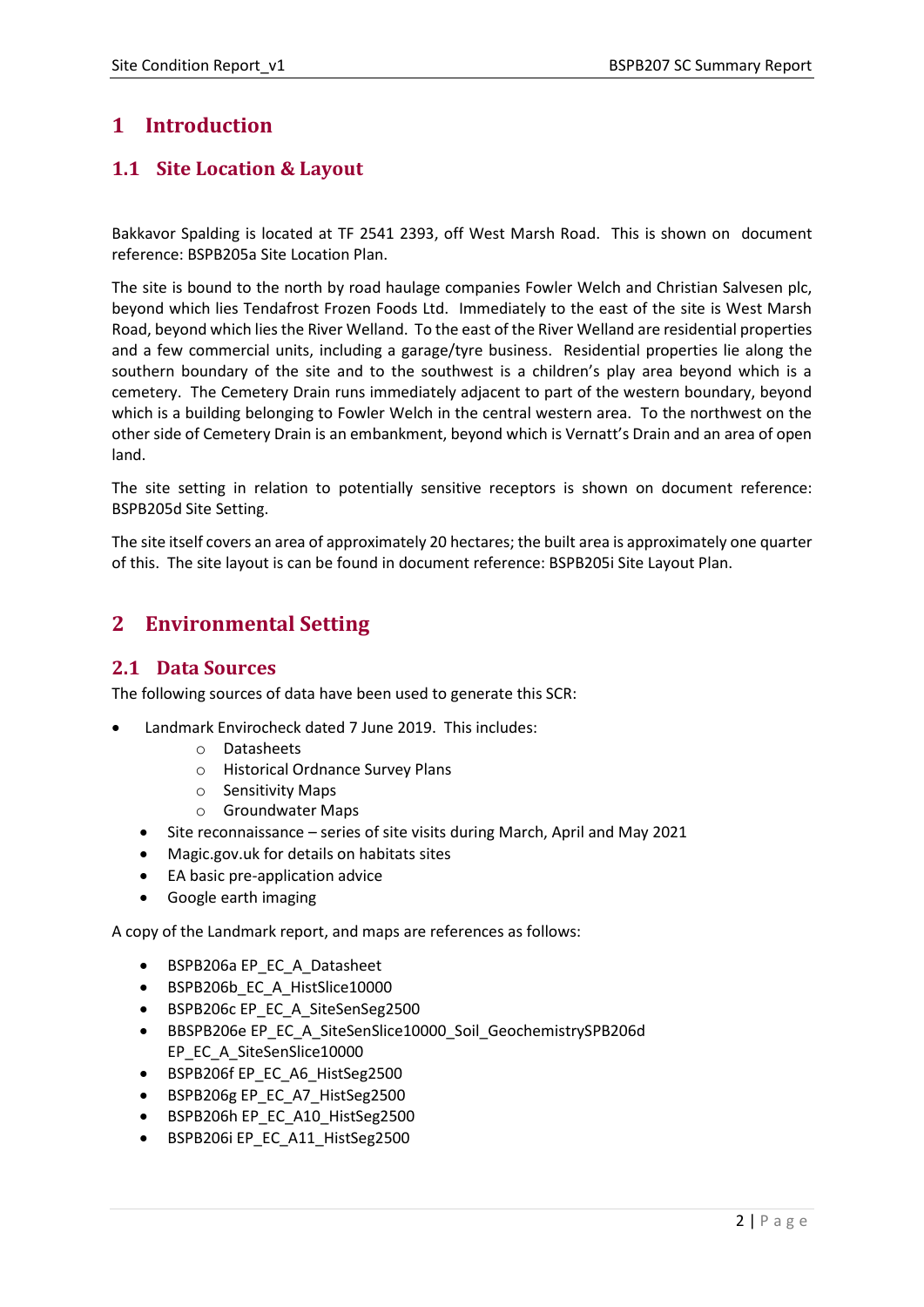# <span id="page-1-0"></span>**1 Introduction**

# <span id="page-1-1"></span>**1.1 Site Location & Layout**

Bakkavor Spalding is located at TF 2541 2393, off West Marsh Road. This is shown on document reference: BSPB205a Site Location Plan.

The site is bound to the north by road haulage companies Fowler Welch and Christian Salvesen plc, beyond which lies Tendafrost Frozen Foods Ltd. Immediately to the east of the site is West Marsh Road, beyond which lies the River Welland. To the east of the River Welland are residential properties and a few commercial units, including a garage/tyre business. Residential properties lie along the southern boundary of the site and to the southwest is a children's play area beyond which is a cemetery. The Cemetery Drain runs immediately adjacent to part of the western boundary, beyond which is a building belonging to Fowler Welch in the central western area. To the northwest on the other side of Cemetery Drain is an embankment, beyond which is Vernatt's Drain and an area of open land.

The site setting in relation to potentially sensitive receptors is shown on document reference: BSPB205d Site Setting.

The site itself covers an area of approximately 20 hectares; the built area is approximately one quarter of this. The site layout is can be found in document reference: BSPB205i Site Layout Plan.

# <span id="page-1-2"></span>**2 Environmental Setting**

## <span id="page-1-3"></span>**2.1 Data Sources**

The following sources of data have been used to generate this SCR:

- Landmark Envirocheck dated 7 June 2019. This includes:
	- o Datasheets
	- o Historical Ordnance Survey Plans
	- o Sensitivity Maps
	- o Groundwater Maps
	- Site reconnaissance series of site visits during March, April and May 2021
	- Magic.gov.uk for details on habitats sites
	- EA basic pre-application advice
	- Google earth imaging

A copy of the Landmark report, and maps are references as follows:

- BSPB206a EP\_EC\_A\_Datasheet
- BSPB206b\_EC\_A\_HistSlice10000
- BSPB206c EP\_EC\_A\_SiteSenSeg2500
- BBSPB206e EP\_EC\_A\_SiteSenSlice10000\_Soil\_GeochemistrySPB206d EP\_EC\_A\_SiteSenSlice10000
- BSPB206f EP\_EC\_A6\_HistSeg2500
- BSPB206g EP\_EC\_A7\_HistSeg2500
- BSPB206h EP\_EC\_A10\_HistSeg2500
- BSPB206i EP\_EC\_A11\_HistSeg2500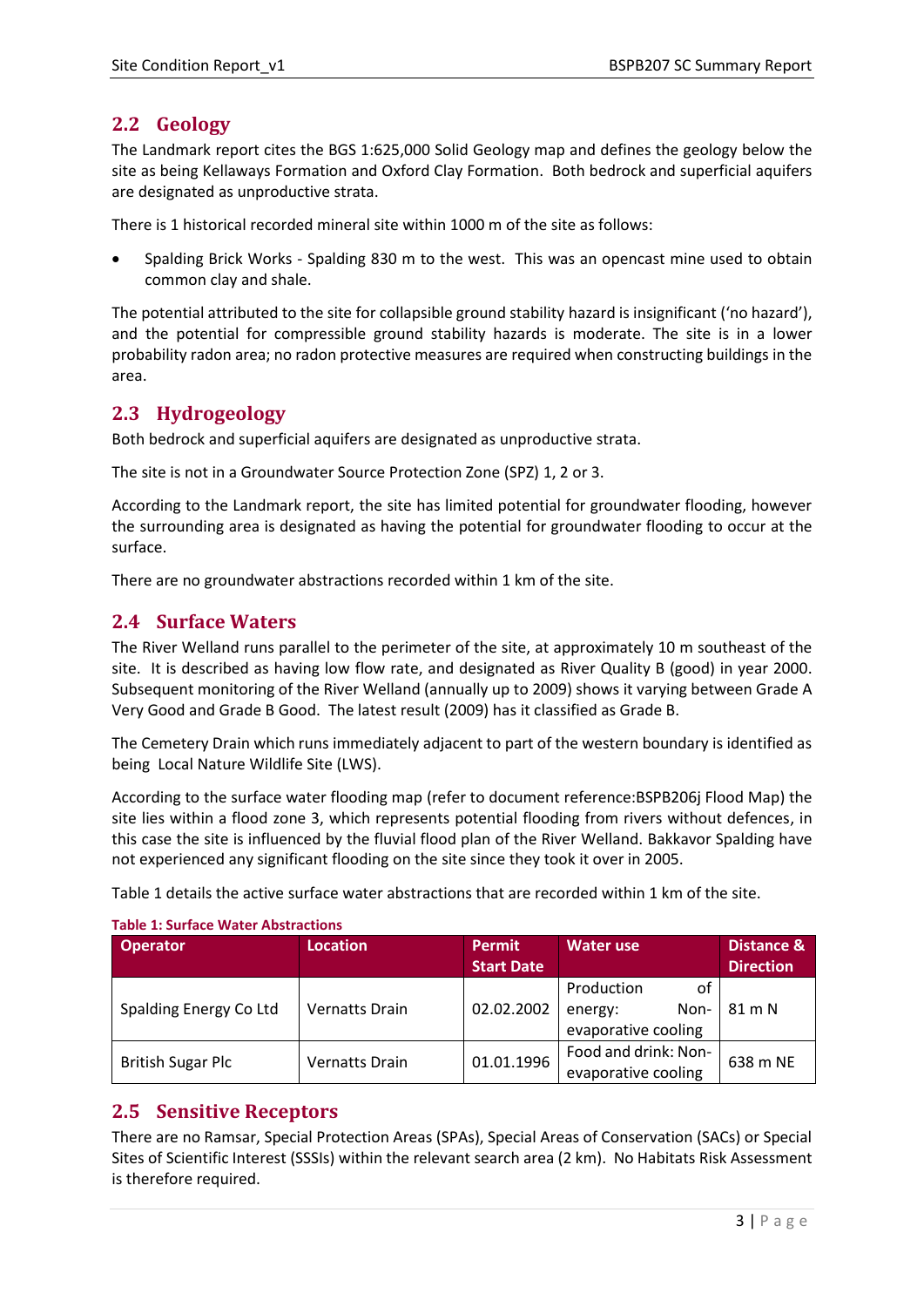## <span id="page-2-0"></span>**2.2 Geology**

The Landmark report cites the BGS 1:625,000 Solid Geology map and defines the geology below the site as being Kellaways Formation and Oxford Clay Formation. Both bedrock and superficial aquifers are designated as unproductive strata.

There is 1 historical recorded mineral site within 1000 m of the site as follows:

• Spalding Brick Works - Spalding 830 m to the west. This was an opencast mine used to obtain common clay and shale.

The potential attributed to the site for collapsible ground stability hazard is insignificant ('no hazard'), and the potential for compressible ground stability hazards is moderate. The site is in a lower probability radon area; no radon protective measures are required when constructing buildings in the area.

## <span id="page-2-1"></span>**2.3 Hydrogeology**

Both bedrock and superficial aquifers are designated as unproductive strata.

The site is not in a Groundwater Source Protection Zone (SPZ) 1, 2 or 3.

According to the Landmark report, the site has limited potential for groundwater flooding, however the surrounding area is designated as having the potential for groundwater flooding to occur at the surface.

There are no groundwater abstractions recorded within 1 km of the site.

## <span id="page-2-2"></span>**2.4 Surface Waters**

The River Welland runs parallel to the perimeter of the site, at approximately 10 m southeast of the site. It is described as having low flow rate, and designated as River Quality B (good) in year 2000. Subsequent monitoring of the River Welland (annually up to 2009) shows it varying between Grade A Very Good and Grade B Good. The latest result (2009) has it classified as Grade B.

The Cemetery Drain which runs immediately adjacent to part of the western boundary is identified as being Local Nature Wildlife Site (LWS).

According to the surface water flooding map (refer to document reference:BSPB206j Flood Map) the site lies within a flood zone 3, which represents potential flooding from rivers without defences, in this case the site is influenced by the fluvial flood plan of the River Welland. Bakkavor Spalding have not experienced any significant flooding on the site since they took it over in 2005.

Table 1 details the active surface water abstractions that are recorded within 1 km of the site.

| <b>Operator</b>          | <b>Location</b>       | <b>Permit</b><br><b>Start Date</b> | <b>Water use</b>                                           | Distance &<br><b>Direction</b> |
|--------------------------|-----------------------|------------------------------------|------------------------------------------------------------|--------------------------------|
| Spalding Energy Co Ltd   | <b>Vernatts Drain</b> | 02.02.2002                         | Production<br>оt<br>Non-<br>energy:<br>evaporative cooling | 81 m N                         |
| <b>British Sugar Plc</b> | <b>Vernatts Drain</b> | 01.01.1996                         | Food and drink: Non-<br>evaporative cooling                | 638 m NE                       |

#### **Table 1: Surface Water Abstractions**

## <span id="page-2-3"></span>**2.5 Sensitive Receptors**

There are no Ramsar, Special Protection Areas (SPAs), Special Areas of Conservation (SACs) or Special Sites of Scientific Interest (SSSIs) within the relevant search area (2 km). No Habitats Risk Assessment is therefore required.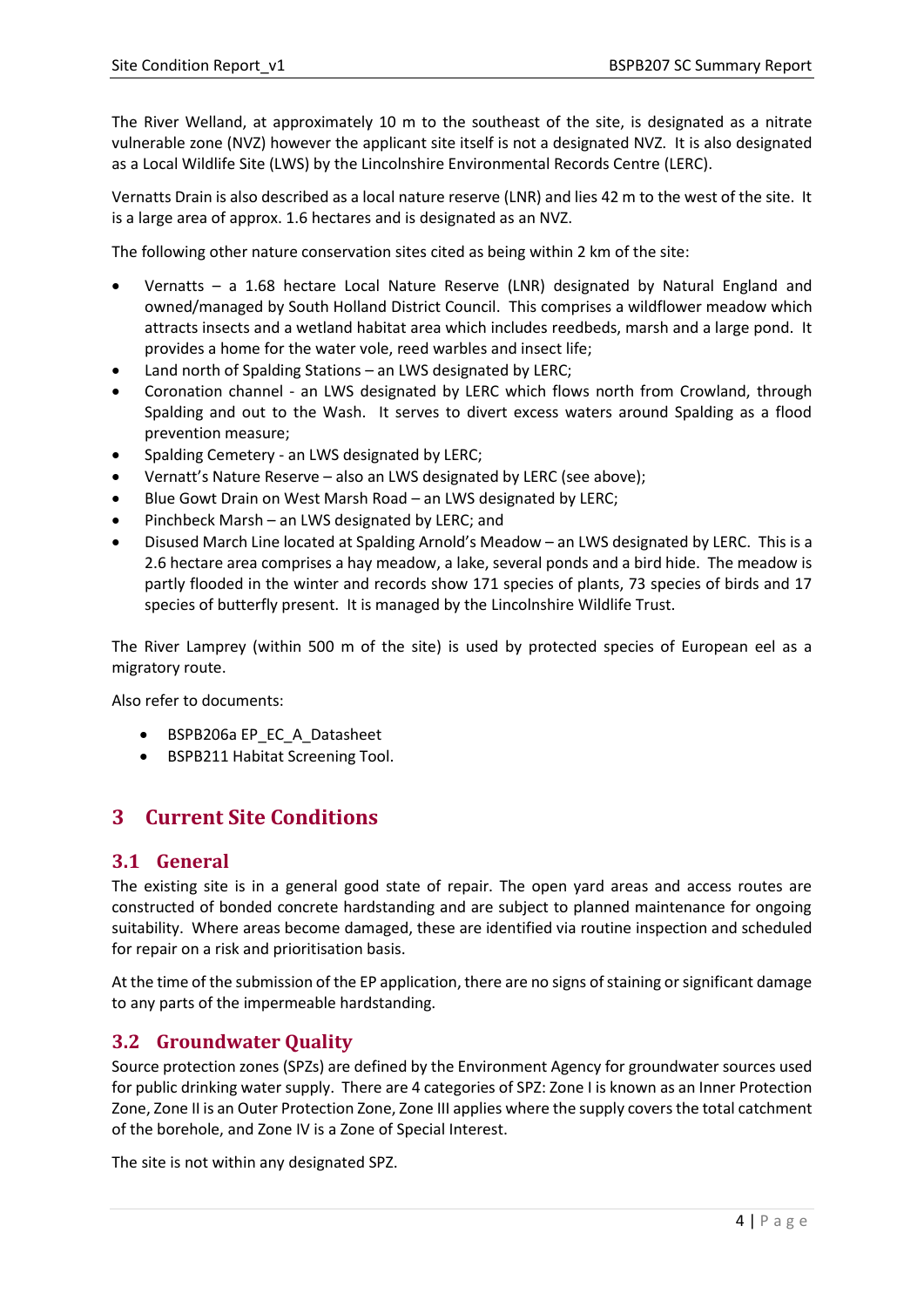The River Welland, at approximately 10 m to the southeast of the site, is designated as a nitrate vulnerable zone (NVZ) however the applicant site itself is not a designated NVZ. It is also designated as a Local Wildlife Site (LWS) by the Lincolnshire Environmental Records Centre (LERC).

Vernatts Drain is also described as a local nature reserve (LNR) and lies 42 m to the west of the site. It is a large area of approx. 1.6 hectares and is designated as an NVZ.

The following other nature conservation sites cited as being within 2 km of the site:

- Vernatts a 1.68 hectare Local Nature Reserve (LNR) designated by Natural England and owned/managed by South Holland District Council. This comprises a wildflower meadow which attracts insects and a wetland habitat area which includes reedbeds, marsh and a large pond. It provides a home for the water vole, reed warbles and insect life;
- Land north of Spalding Stations an LWS designated by LERC;
- Coronation channel an LWS designated by LERC which flows north from Crowland, through Spalding and out to the Wash. It serves to divert excess waters around Spalding as a flood prevention measure;
- Spalding Cemetery an LWS designated by LERC;
- Vernatt's Nature Reserve also an LWS designated by LERC (see above);
- Blue Gowt Drain on West Marsh Road an LWS designated by LERC;
- Pinchbeck Marsh an LWS designated by LERC; and
- Disused March Line located at Spalding Arnold's Meadow an LWS designated by LERC. This is a 2.6 hectare area comprises a hay meadow, a lake, several ponds and a bird hide. The meadow is partly flooded in the winter and records show 171 species of plants, 73 species of birds and 17 species of butterfly present. It is managed by the Lincolnshire Wildlife Trust.

The River Lamprey (within 500 m of the site) is used by protected species of European eel as a migratory route.

Also refer to documents:

- BSPB206a EP\_EC\_A\_Datasheet
- BSPB211 Habitat Screening Tool.

# <span id="page-3-0"></span>**3 Current Site Conditions**

#### <span id="page-3-1"></span>**3.1 General**

The existing site is in a general good state of repair. The open yard areas and access routes are constructed of bonded concrete hardstanding and are subject to planned maintenance for ongoing suitability. Where areas become damaged, these are identified via routine inspection and scheduled for repair on a risk and prioritisation basis.

At the time of the submission of the EP application, there are no signs of staining or significant damage to any parts of the impermeable hardstanding.

## <span id="page-3-2"></span>**3.2 Groundwater Quality**

Source protection zones (SPZs) are defined by the Environment Agency for groundwater sources used for public drinking water supply. There are 4 categories of SPZ: Zone I is known as an Inner Protection Zone, Zone II is an Outer Protection Zone, Zone III applies where the supply covers the total catchment of the borehole, and Zone IV is a Zone of Special Interest.

The site is not within any designated SPZ.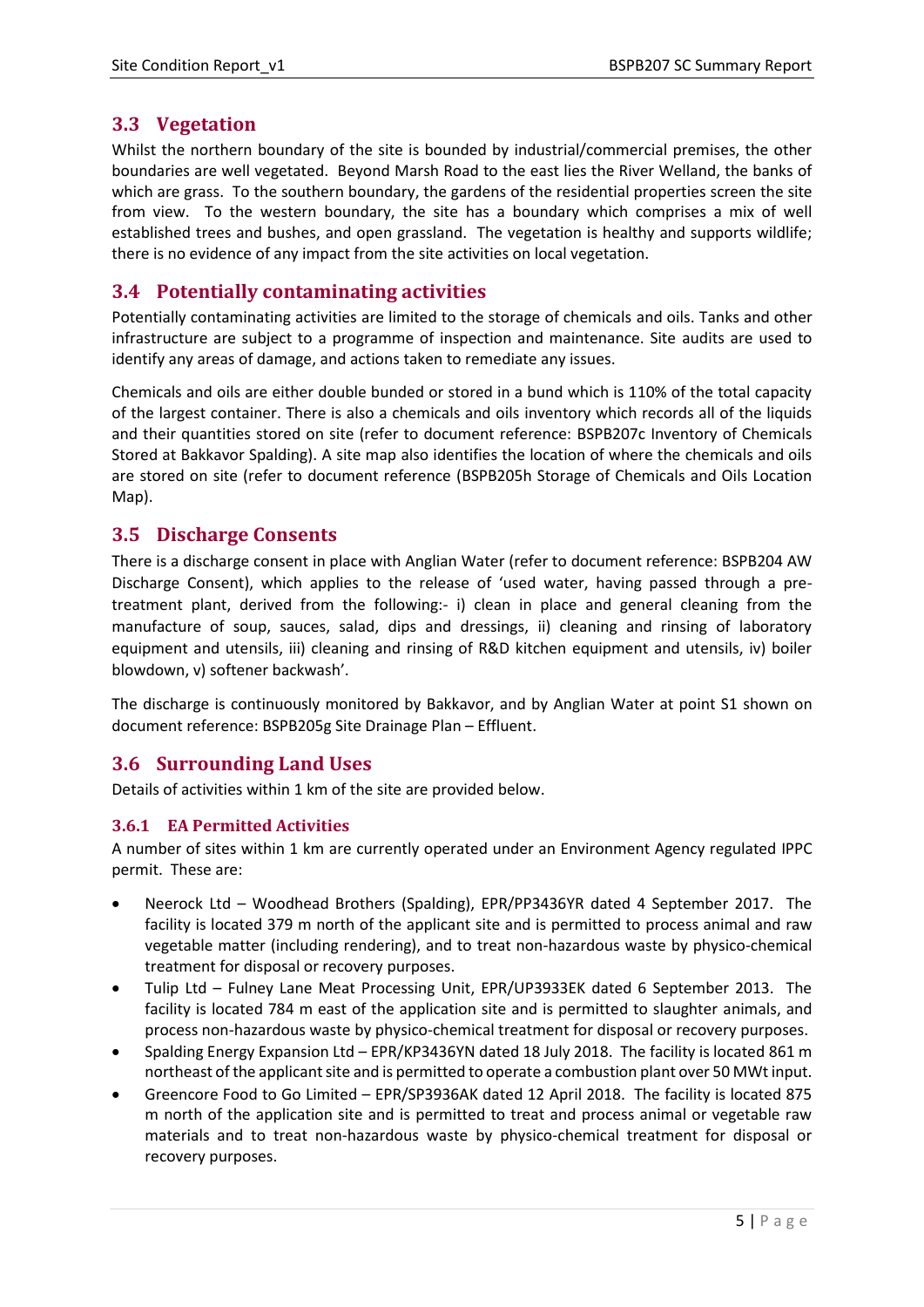## <span id="page-4-0"></span>**3.3 Vegetation**

Whilst the northern boundary of the site is bounded by industrial/commercial premises, the other boundaries are well vegetated. Beyond Marsh Road to the east lies the River Welland, the banks of which are grass. To the southern boundary, the gardens of the residential properties screen the site from view. To the western boundary, the site has a boundary which comprises a mix of well established trees and bushes, and open grassland. The vegetation is healthy and supports wildlife; there is no evidence of any impact from the site activities on local vegetation.

## <span id="page-4-1"></span>**3.4 Potentially contaminating activities**

Potentially contaminating activities are limited to the storage of chemicals and oils. Tanks and other infrastructure are subject to a programme of inspection and maintenance. Site audits are used to identify any areas of damage, and actions taken to remediate any issues.

Chemicals and oils are either double bunded or stored in a bund which is 110% of the total capacity of the largest container. There is also a chemicals and oils inventory which records all of the liquids and their quantities stored on site (refer to document reference: BSPB207c Inventory of Chemicals Stored at Bakkavor Spalding). A site map also identifies the location of where the chemicals and oils are stored on site (refer to document reference (BSPB205h Storage of Chemicals and Oils Location Map).

## <span id="page-4-2"></span>**3.5 Discharge Consents**

There is a discharge consent in place with Anglian Water (refer to document reference: BSPB204 AW Discharge Consent), which applies to the release of 'used water, having passed through a pretreatment plant, derived from the following:- i) clean in place and general cleaning from the manufacture of soup, sauces, salad, dips and dressings, ii) cleaning and rinsing of laboratory equipment and utensils, iii) cleaning and rinsing of R&D kitchen equipment and utensils, iv) boiler blowdown, v) softener backwash'.

The discharge is continuously monitored by Bakkavor, and by Anglian Water at point S1 shown on document reference: BSPB205g Site Drainage Plan – Effluent.

## <span id="page-4-3"></span>**3.6 Surrounding Land Uses**

Details of activities within 1 km of the site are provided below.

#### <span id="page-4-4"></span>**3.6.1 EA Permitted Activities**

A number of sites within 1 km are currently operated under an Environment Agency regulated IPPC permit. These are:

- Neerock Ltd Woodhead Brothers (Spalding), EPR/PP3436YR dated 4 September 2017. The facility is located 379 m north of the applicant site and is permitted to process animal and raw vegetable matter (including rendering), and to treat non-hazardous waste by physico-chemical treatment for disposal or recovery purposes.
- Tulip Ltd Fulney Lane Meat Processing Unit, EPR/UP3933EK dated 6 September 2013. The facility is located 784 m east of the application site and is permitted to slaughter animals, and process non-hazardous waste by physico-chemical treatment for disposal or recovery purposes.
- Spalding Energy Expansion Ltd EPR/KP3436YN dated 18 July 2018. The facility is located 861 m northeast of the applicant site and is permitted to operate a combustion plant over 50 MWt input.
- Greencore Food to Go Limited EPR/SP3936AK dated 12 April 2018. The facility is located 875 m north of the application site and is permitted to treat and process animal or vegetable raw materials and to treat non-hazardous waste by physico-chemical treatment for disposal or recovery purposes.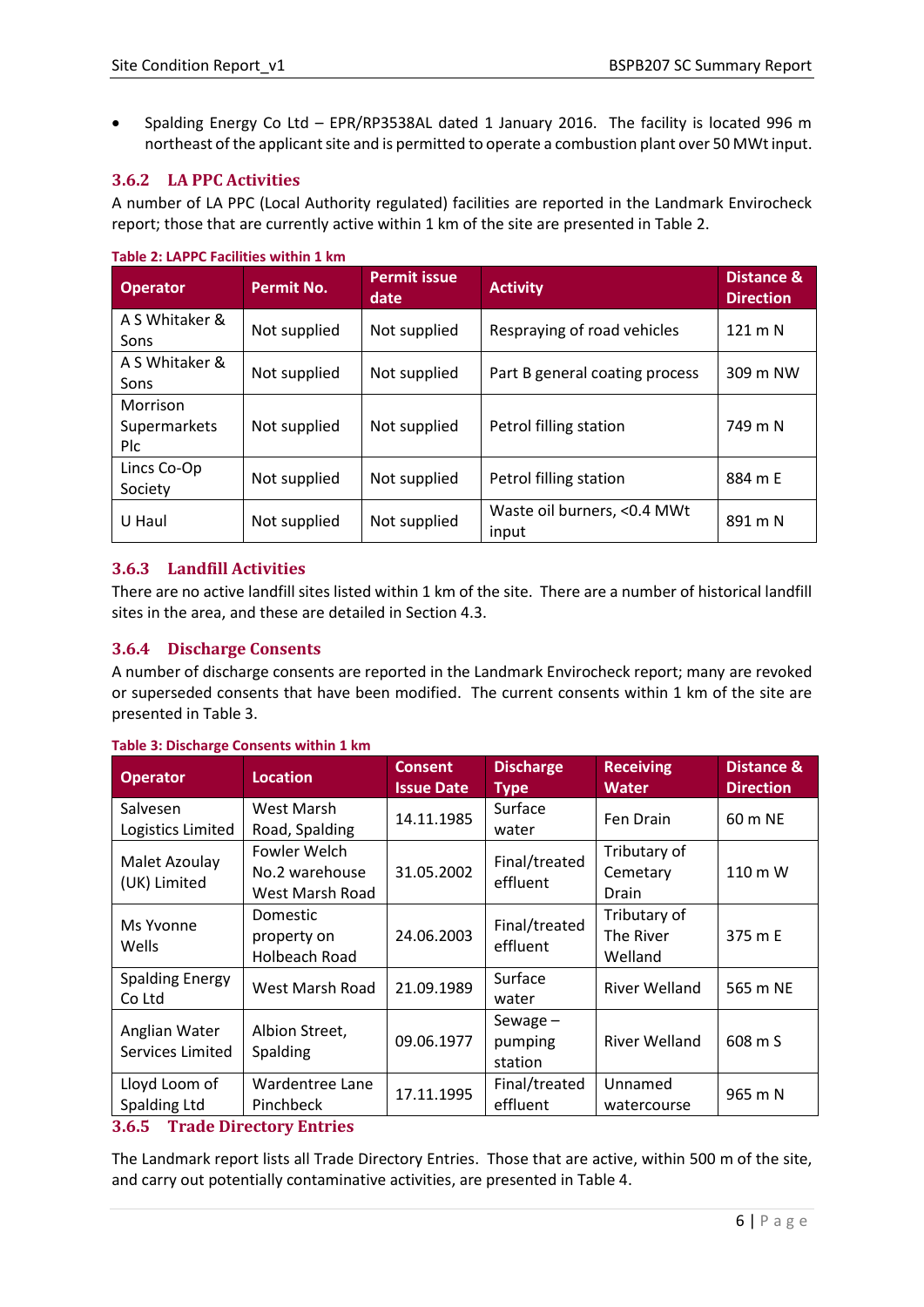• Spalding Energy Co Ltd – EPR/RP3538AL dated 1 January 2016. The facility is located 996 m northeast of the applicant site and is permitted to operate a combustion plant over 50 MWt input.

#### <span id="page-5-0"></span>**3.6.2 LA PPC Activities**

A number of LA PPC (Local Authority regulated) facilities are reported in the Landmark Envirocheck report; those that are currently active within 1 km of the site are presented in Table 2.

| <b>Operator</b>                        | <b>Permit No.</b> | <b>Permit issue</b><br>date | <b>Activity</b>                      | Distance &<br><b>Direction</b> |
|----------------------------------------|-------------------|-----------------------------|--------------------------------------|--------------------------------|
| A S Whitaker &<br>Sons                 | Not supplied      | Not supplied                | Respraying of road vehicles          | $121 \text{ m}$ N              |
| A S Whitaker &<br>Sons                 | Not supplied      | Not supplied                | Part B general coating process       | 309 m NW                       |
| Morrison<br>Supermarkets<br><b>Plc</b> | Not supplied      | Not supplied                | Petrol filling station               | 749 m N                        |
| Lincs Co-Op<br>Society                 | Not supplied      | Not supplied                | Petrol filling station               | 884 m E                        |
| U Haul                                 | Not supplied      | Not supplied                | Waste oil burners, <0.4 MWt<br>input | 891 m N                        |

#### **Table 2: LAPPC Facilities within 1 km**

### <span id="page-5-1"></span>**3.6.3 Landfill Activities**

There are no active landfill sites listed within 1 km of the site. There are a number of historical landfill sites in the area, and these are detailed in Section 4.3.

#### <span id="page-5-2"></span>**3.6.4 Discharge Consents**

A number of discharge consents are reported in the Landmark Envirocheck report; many are revoked or superseded consents that have been modified. The current consents within 1 km of the site are presented in Table 3.

| <b>Operator</b>                   | <b>Location</b>                                   | <b>Consent</b><br><b>Issue Date</b>         | <b>Discharge</b><br><b>Type</b>  | <b>Receiving</b><br><b>Water</b>     | <b>Distance &amp;</b><br><b>Direction</b> |
|-----------------------------------|---------------------------------------------------|---------------------------------------------|----------------------------------|--------------------------------------|-------------------------------------------|
| Salvesen<br>Logistics Limited     | West Marsh<br>Road, Spalding                      | Surface<br>14.11.1985<br>Fen Drain<br>water |                                  |                                      | 60 m NE                                   |
| Malet Azoulay<br>(UK) Limited     | Fowler Welch<br>No.2 warehouse<br>West Marsh Road | 31.05.2002                                  | Final/treated<br>effluent        | Tributary of<br>Cemetary<br>Drain    | 110 m W                                   |
| Ms Yvonne<br>Wells                | Domestic<br>property on<br>Holbeach Road          | 24.06.2003                                  | Final/treated<br>effluent        | Tributary of<br>The River<br>Welland | 375 m E                                   |
| <b>Spalding Energy</b><br>Co Ltd  | West Marsh Road                                   | 21.09.1989                                  | Surface<br>water                 | <b>River Welland</b>                 | 565 m NE                                  |
| Anglian Water<br>Services Limited | Albion Street,<br>Spalding                        | 09.06.1977                                  | Sewage $-$<br>pumping<br>station | <b>River Welland</b>                 | 608 m S                                   |
| Lloyd Loom of<br>Spalding Ltd     | Wardentree Lane<br>Pinchbeck                      | 17.11.1995                                  | Final/treated<br>effluent        | Unnamed<br>watercourse               | 965 m N                                   |

#### **Table 3: Discharge Consents within 1 km**

#### <span id="page-5-3"></span>**3.6.5 Trade Directory Entries**

The Landmark report lists all Trade Directory Entries. Those that are active, within 500 m of the site, and carry out potentially contaminative activities, are presented in Table 4.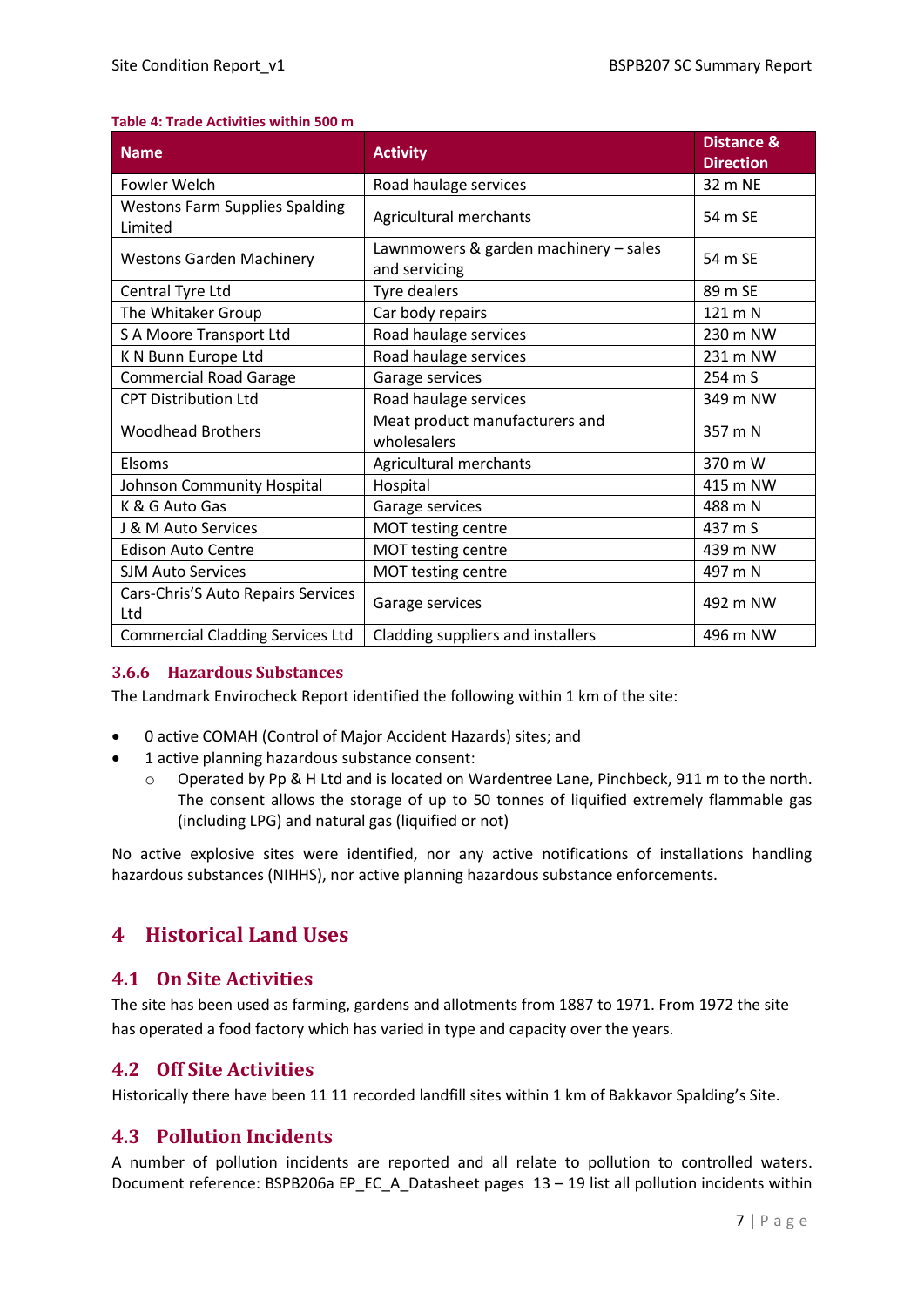#### **Table 4: Trade Activities within 500 m**

| <b>Name</b>                                      | <b>Activity</b>                                        | <b>Distance &amp;</b><br><b>Direction</b> |
|--------------------------------------------------|--------------------------------------------------------|-------------------------------------------|
| <b>Fowler Welch</b>                              | Road haulage services                                  | 32 m NE                                   |
| <b>Westons Farm Supplies Spalding</b><br>Limited | Agricultural merchants                                 | 54 m SE                                   |
| <b>Westons Garden Machinery</b>                  | Lawnmowers & garden machinery - sales<br>and servicing | 54 m SE                                   |
| Central Tyre Ltd                                 | <b>Tyre dealers</b>                                    | 89 m SE                                   |
| The Whitaker Group                               | Car body repairs                                       | 121 m N                                   |
| S A Moore Transport Ltd                          | Road haulage services                                  | 230 m NW                                  |
| K N Bunn Europe Ltd                              | Road haulage services                                  | 231 m NW                                  |
| <b>Commercial Road Garage</b>                    | Garage services                                        | 254 m S                                   |
| <b>CPT Distribution Ltd</b>                      | Road haulage services                                  | 349 m NW                                  |
| <b>Woodhead Brothers</b>                         | Meat product manufacturers and<br>wholesalers          | 357 m N                                   |
| Elsoms                                           | Agricultural merchants                                 | 370 m W                                   |
| Johnson Community Hospital                       | Hospital                                               | 415 m NW                                  |
| K & G Auto Gas                                   | Garage services                                        | 488 m N                                   |
| J & M Auto Services                              | MOT testing centre                                     | 437 m S                                   |
| <b>Edison Auto Centre</b>                        | MOT testing centre                                     | 439 m NW                                  |
| <b>SJM Auto Services</b>                         | MOT testing centre                                     | 497 m N                                   |
| Cars-Chris'S Auto Repairs Services<br>Ltd        | Garage services                                        | 492 m NW                                  |
| <b>Commercial Cladding Services Ltd</b>          | Cladding suppliers and installers                      | 496 m NW                                  |

#### <span id="page-6-0"></span>**3.6.6 Hazardous Substances**

The Landmark Envirocheck Report identified the following within 1 km of the site:

- 0 active COMAH (Control of Major Accident Hazards) sites; and
- 1 active planning hazardous substance consent:
	- o Operated by Pp & H Ltd and is located on Wardentree Lane, Pinchbeck, 911 m to the north. The consent allows the storage of up to 50 tonnes of liquified extremely flammable gas (including LPG) and natural gas (liquified or not)

No active explosive sites were identified, nor any active notifications of installations handling hazardous substances (NIHHS), nor active planning hazardous substance enforcements.

# <span id="page-6-1"></span>**4 Historical Land Uses**

## <span id="page-6-2"></span>**4.1 On Site Activities**

The site has been used as farming, gardens and allotments from 1887 to 1971. From 1972 the site has operated a food factory which has varied in type and capacity over the years.

# <span id="page-6-3"></span>**4.2 Off Site Activities**

Historically there have been 11 11 recorded landfill sites within 1 km of Bakkavor Spalding's Site.

## <span id="page-6-4"></span>**4.3 Pollution Incidents**

A number of pollution incidents are reported and all relate to pollution to controlled waters. Document reference: BSPB206a EP\_EC\_A\_Datasheet pages 13 – 19 list all pollution incidents within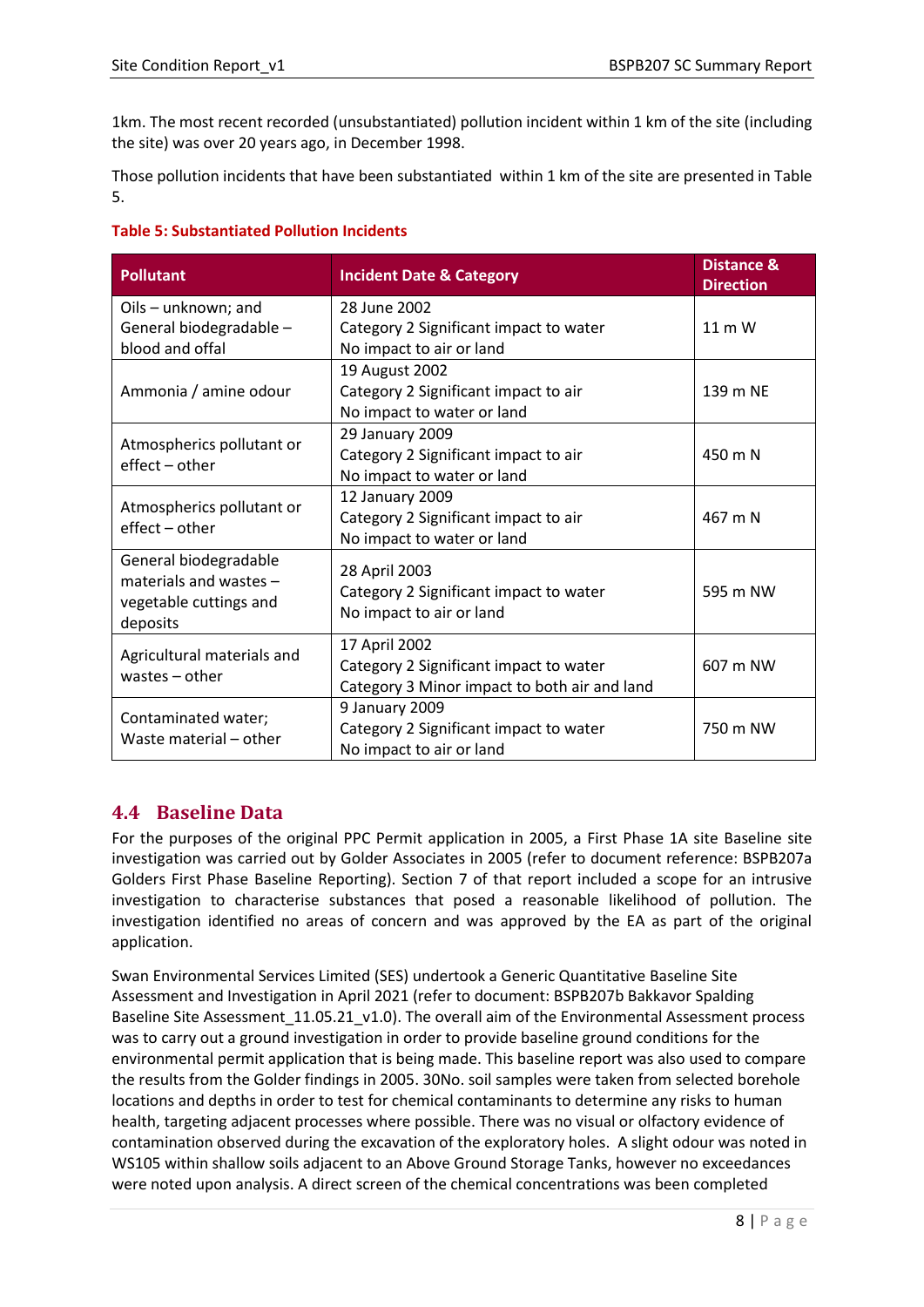1km. The most recent recorded (unsubstantiated) pollution incident within 1 km of the site (including the site) was over 20 years ago, in December 1998.

Those pollution incidents that have been substantiated within 1 km of the site are presented in Table 5.

| <b>Table 5: Substantiated Pollution Incidents</b> |  |  |
|---------------------------------------------------|--|--|
|---------------------------------------------------|--|--|

| Pollutant                          | <b>Incident Date &amp; Category</b>          | Distance &<br><b>Direction</b> |
|------------------------------------|----------------------------------------------|--------------------------------|
| Oils - unknown; and                | 28 June 2002                                 |                                |
| General biodegradable -            | Category 2 Significant impact to water       | $11 \text{ m}$ W               |
| blood and offal                    | No impact to air or land                     |                                |
|                                    | 19 August 2002                               |                                |
| Ammonia / amine odour              | Category 2 Significant impact to air         | 139 m NE                       |
|                                    | No impact to water or land                   |                                |
| Atmospherics pollutant or          | 29 January 2009                              |                                |
| effect - other                     | Category 2 Significant impact to air         | 450 m N                        |
|                                    | No impact to water or land                   |                                |
| Atmospherics pollutant or          | 12 January 2009                              |                                |
| effect - other                     | Category 2 Significant impact to air         | 467 m N                        |
|                                    | No impact to water or land                   |                                |
| General biodegradable              | 28 April 2003                                |                                |
| materials and wastes -             | Category 2 Significant impact to water       | 595 m NW                       |
| vegetable cuttings and<br>deposits | No impact to air or land                     |                                |
|                                    | 17 April 2002                                |                                |
| Agricultural materials and         | Category 2 Significant impact to water       | 607 m NW                       |
| wastes $-$ other                   | Category 3 Minor impact to both air and land |                                |
|                                    | 9 January 2009                               |                                |
| Contaminated water;                | Category 2 Significant impact to water       | 750 m NW                       |
| Waste material - other             | No impact to air or land                     |                                |

## <span id="page-7-0"></span>**4.4 Baseline Data**

For the purposes of the original PPC Permit application in 2005, a First Phase 1A site Baseline site investigation was carried out by Golder Associates in 2005 (refer to document reference: BSPB207a Golders First Phase Baseline Reporting). Section 7 of that report included a scope for an intrusive investigation to characterise substances that posed a reasonable likelihood of pollution. The investigation identified no areas of concern and was approved by the EA as part of the original application.

Swan Environmental Services Limited (SES) undertook a Generic Quantitative Baseline Site Assessment and Investigation in April 2021 (refer to document: BSPB207b Bakkavor Spalding Baseline Site Assessment\_11.05.21\_v1.0). The overall aim of the Environmental Assessment process was to carry out a ground investigation in order to provide baseline ground conditions for the environmental permit application that is being made. This baseline report was also used to compare the results from the Golder findings in 2005. 30No. soil samples were taken from selected borehole locations and depths in order to test for chemical contaminants to determine any risks to human health, targeting adjacent processes where possible. There was no visual or olfactory evidence of contamination observed during the excavation of the exploratory holes. A slight odour was noted in WS105 within shallow soils adjacent to an Above Ground Storage Tanks, however no exceedances were noted upon analysis. A direct screen of the chemical concentrations was been completed